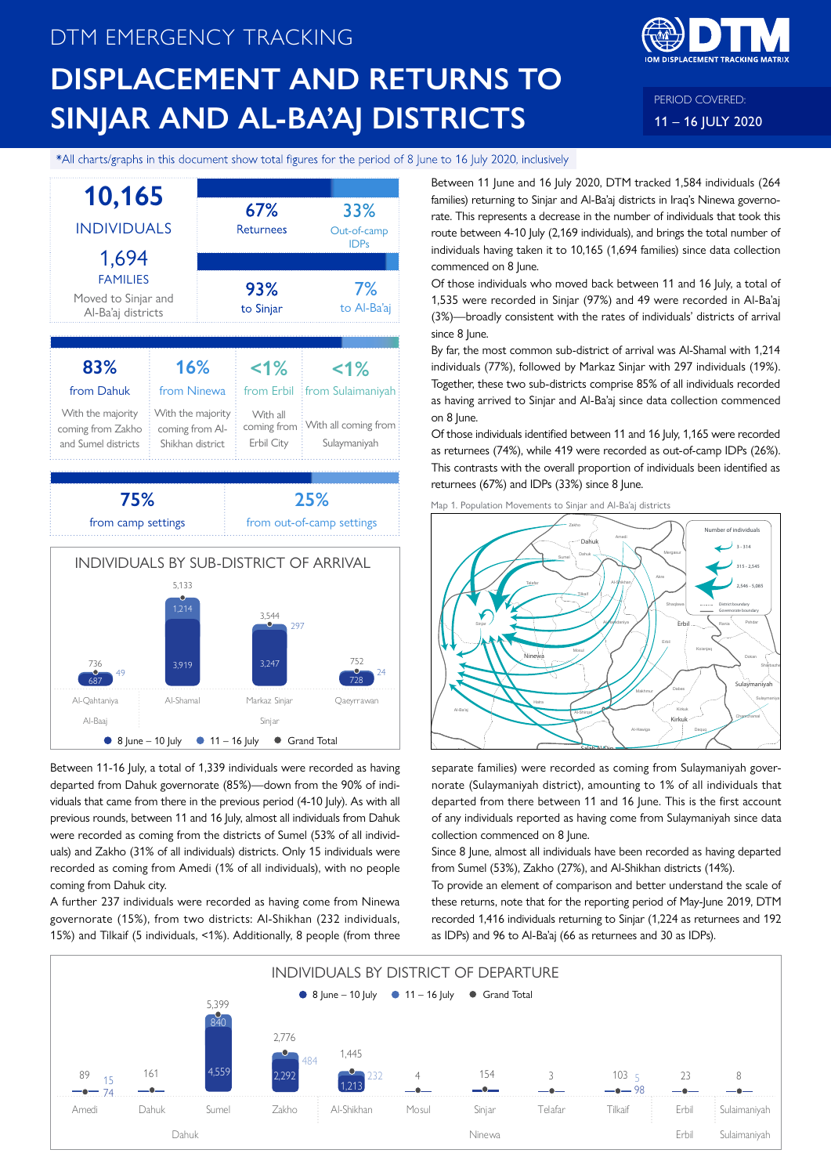# DTM EMERGENCY TRACKING **DISPLACEMENT AND RETURNS TO SINJAR AND AL-BA'AJ DISTRICTS**



PERIOD COVERED: 11 – 16 JULY 2020

### \*All charts/graphs in this document show total figures for the period of 8 June to 16 July 2020, inclusively



Between 11-16 July, a total of 1,339 individuals were recorded as having departed from Dahuk governorate (85%)—down from the 90% of individuals that came from there in the previous period (4-10 July). As with all previous rounds, between 11 and 16 July, almost all individuals from Dahuk were recorded as coming from the districts of Sumel (53% of all individuals) and Zakho (31% of all individuals) districts. Only 15 individuals were recorded as coming from Amedi (1% of all individuals), with no people coming from Dahuk city.

A further 237 individuals were recorded as having come from Ninewa governorate (15%), from two districts: Al-Shikhan (232 individuals, 15%) and Tilkaif (5 individuals, <1%). Additionally, 8 people (from three Between 11 June and 16 July 2020, DTM tracked 1,584 individuals (264 families) returning to Sinjar and Al-Ba'aj districts in Iraq's Ninewa governorate. This represents a decrease in the number of individuals that took this route between 4-10 July (2,169 individuals), and brings the total number of individuals having taken it to 10,165 (1,694 families) since data collection commenced on 8 June.

Of those individuals who moved back between 11 and 16 July, a total of 1,535 were recorded in Sinjar (97%) and 49 were recorded in Al-Ba'aj (3%)—broadly consistent with the rates of individuals' districts of arrival since 8 June.

By far, the most common sub-district of arrival was Al-Shamal with 1,214 individuals (77%), followed by Markaz Sinjar with 297 individuals (19%). Together, these two sub-districts comprise 85% of all individuals recorded as having arrived to Sinjar and Al-Ba'aj since data collection commenced on 8 June.

Of those individuals identified between 11 and 16 July, 1,165 were recorded as returnees (74%), while 419 were recorded as out-of-camp IDPs (26%). This contrasts with the overall proportion of individuals been identified as returnees (67%) and IDPs (33%) since 8 June.



separate families) were recorded as coming from Sulaymaniyah governorate (Sulaymaniyah district), amounting to 1% of all individuals that departed from there between 11 and 16 June. This is the first account of any individuals reported as having come from Sulaymaniyah since data collection commenced on 8 June.

 $\overline{\phantom{a}}$  Salah Al-Din

Map 1. Population Movements to Sinjar and Al-Ba'aj districts

Tooz Kalar Tikrit

Since 8 June, almost all individuals have been recorded as having departed from Sumel (53%), Zakho (27%), and Al-Shikhan districts (14%).

To provide an element of comparison and better understand the scale of these returns, note that for the reporting period of May-June 2019, DTM recorded 1,416 individuals returning to Sinjar (1,224 as returnees and 192 as IDPs) and 96 to Al-Ba'aj (66 as returnees and 30 as IDPs).